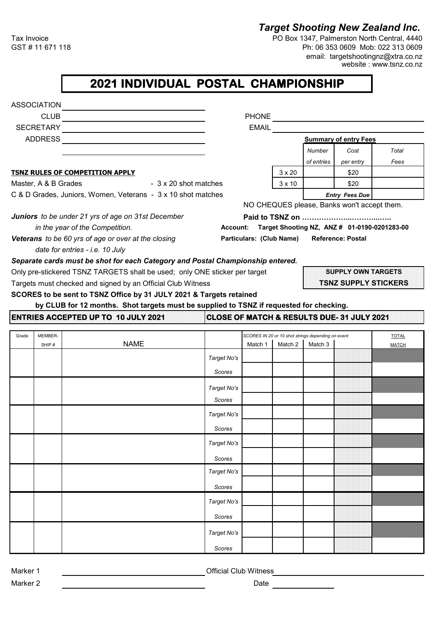## *Target Shooting New Zealand Inc.*

Tax Invoice **PO Box 1347, Palmerston North Central, 4440**<br>GST # 11 671 118 **PO Box 1347, Palmerston North Central, 4440** Ph: 06 353 0609 Mob: 022 313 0609 email: targetshootingnz@xtra.co.nz website : www.tsnz.co.nz

## **2021 INDIVIDUAL POSTAL CHAMPIONSHIP**

|       | <b>ASSOCIATION</b>   |                                                                                         |                       |                          |               |                                                               |                                             |                                              |  |
|-------|----------------------|-----------------------------------------------------------------------------------------|-----------------------|--------------------------|---------------|---------------------------------------------------------------|---------------------------------------------|----------------------------------------------|--|
|       | CLUB                 |                                                                                         |                       |                          |               |                                                               |                                             |                                              |  |
|       | SECRETARY            |                                                                                         |                       | <b>EMAIL</b>             |               |                                                               |                                             |                                              |  |
|       | ADDRESS              |                                                                                         |                       |                          |               |                                                               | <b>Summary of entry Fees</b>                |                                              |  |
|       |                      |                                                                                         |                       |                          |               | Number                                                        | Cost                                        | Total                                        |  |
|       |                      |                                                                                         |                       |                          |               | of entries                                                    | per entry                                   | Fees                                         |  |
|       |                      | <b>TSNZ RULES OF COMPETITION APPLY</b>                                                  |                       |                          | $3 \times 20$ |                                                               | \$20                                        |                                              |  |
|       | Master, A & B Grades | - 3 x 20 shot matches                                                                   |                       |                          | $3 \times 10$ |                                                               | \$20                                        |                                              |  |
|       |                      | C & D Grades, Juniors, Women, Veterans - 3 x 10 shot matches                            |                       |                          |               |                                                               | <b>Entry Fees Due</b>                       |                                              |  |
|       |                      |                                                                                         |                       |                          |               |                                                               | NO CHEQUES please, Banks won't accept them. |                                              |  |
|       |                      | <b>Juniors</b> to be under 21 yrs of age on 31st December                               |                       |                          |               |                                                               |                                             |                                              |  |
|       |                      | in the year of the Competition.                                                         | <b>Account:</b>       |                          |               |                                                               |                                             | Target Shooting NZ, ANZ # 01-0190-0201283-00 |  |
|       |                      | Veterans to be 60 yrs of age or over at the closing<br>date for entries - i.e. 10 July  |                       | Particulars: (Club Name) |               |                                                               | <b>Reference: Postal</b>                    |                                              |  |
|       |                      | Separate cards must be shot for each Category and Postal Championship entered.          |                       |                          |               |                                                               |                                             |                                              |  |
|       |                      | Only pre-stickered TSNZ TARGETS shall be used; only ONE sticker per target              |                       |                          |               |                                                               | <b>SUPPLY OWN TARGETS</b>                   |                                              |  |
|       |                      | Targets must checked and signed by an Official Club Witness                             |                       |                          |               | <b>TSNZ SUPPLY STICKERS</b>                                   |                                             |                                              |  |
|       |                      | SCORES to be sent to TSNZ Office by 31 JULY 2021 & Targets retained                     |                       |                          |               |                                                               |                                             |                                              |  |
|       |                      | by CLUB for 12 months. Shot targets must be supplied to TSNZ if requested for checking. |                       |                          |               |                                                               |                                             |                                              |  |
|       |                      | <b>ENTRIES ACCEPTED UP TO 10 JULY 2021</b>                                              |                       |                          |               |                                                               | CLOSE OF MATCH & RESULTS DUE- 31 JULY 2021  |                                              |  |
|       |                      |                                                                                         |                       |                          |               |                                                               |                                             | <b>TOTAL</b>                                 |  |
| Grade | MEMBER-<br>SHIP#     | <b>NAME</b>                                                                             |                       | Match 1                  | Match 2       | SCORES IN 20 or 10 shot strings depending on event<br>Match 3 | <b>MATCH</b>                                |                                              |  |
|       |                      |                                                                                         | Target No's           |                          |               |                                                               |                                             |                                              |  |
|       |                      |                                                                                         | Scores                |                          |               |                                                               |                                             |                                              |  |
|       |                      |                                                                                         | Target No's           |                          |               |                                                               |                                             |                                              |  |
|       |                      |                                                                                         | Scores                |                          |               |                                                               |                                             |                                              |  |
|       |                      |                                                                                         |                       |                          |               |                                                               |                                             |                                              |  |
|       |                      |                                                                                         | Target No's           |                          |               |                                                               |                                             |                                              |  |
|       |                      |                                                                                         | Scores                |                          |               |                                                               |                                             |                                              |  |
|       |                      |                                                                                         | Target No's           |                          |               |                                                               |                                             |                                              |  |
|       |                      |                                                                                         | Scores                |                          |               |                                                               |                                             |                                              |  |
|       |                      |                                                                                         | Target No's           |                          |               |                                                               |                                             |                                              |  |
|       |                      |                                                                                         | Scores                |                          |               |                                                               |                                             |                                              |  |
|       |                      |                                                                                         |                       |                          |               |                                                               |                                             |                                              |  |
|       |                      |                                                                                         | Target No's           |                          |               |                                                               |                                             |                                              |  |
|       |                      |                                                                                         | <b>Scores</b>         |                          |               |                                                               |                                             |                                              |  |
|       |                      |                                                                                         |                       |                          |               |                                                               |                                             |                                              |  |
|       |                      |                                                                                         | Target No's<br>Scores |                          |               |                                                               |                                             |                                              |  |

Marker 1 **Marker 1 Marker 1 Official Club Witness**